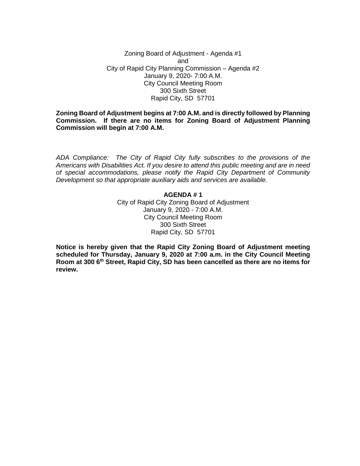Zoning Board of Adjustment - Agenda #1 and City of Rapid City Planning Commission – Agenda #2 January 9, 2020- 7:00 A.M. City Council Meeting Room 300 Sixth Street Rapid City, SD 57701

**Zoning Board of Adjustment begins at 7:00 A.M. and is directly followed by Planning Commission. If there are no items for Zoning Board of Adjustment Planning Commission will begin at 7:00 A.M.**

*ADA Compliance: The City of Rapid City fully subscribes to the provisions of the Americans with Disabilities Act. If you desire to attend this public meeting and are in need of special accommodations, please notify the Rapid City Department of Community Development so that appropriate auxiliary aids and services are available.*

## **AGENDA # 1** City of Rapid City Zoning Board of Adjustment January 9, 2020 - 7:00 A.M. City Council Meeting Room 300 Sixth Street Rapid City, SD 57701

**Notice is hereby given that the Rapid City Zoning Board of Adjustment meeting scheduled for Thursday, January 9, 2020 at 7:00 a.m. in the City Council Meeting Room at 300 6th Street, Rapid City, SD has been cancelled as there are no items for review.**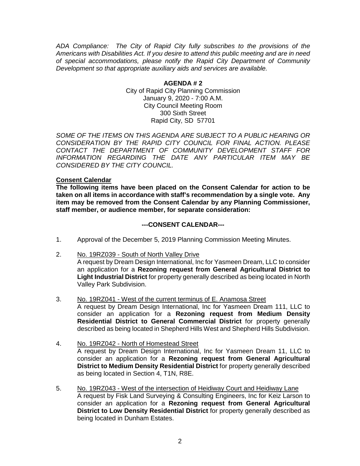*ADA Compliance: The City of Rapid City fully subscribes to the provisions of the Americans with Disabilities Act. If you desire to attend this public meeting and are in need of special accommodations, please notify the Rapid City Department of Community Development so that appropriate auxiliary aids and services are available.*

> **AGENDA # 2** City of Rapid City Planning Commission January 9, 2020 - 7:00 A.M. City Council Meeting Room 300 Sixth Street Rapid City, SD 57701

*SOME OF THE ITEMS ON THIS AGENDA ARE SUBJECT TO A PUBLIC HEARING OR CONSIDERATION BY THE RAPID CITY COUNCIL FOR FINAL ACTION. PLEASE CONTACT THE DEPARTMENT OF COMMUNITY DEVELOPMENT STAFF FOR INFORMATION REGARDING THE DATE ANY PARTICULAR ITEM MAY BE CONSIDERED BY THE CITY COUNCIL.*

## **Consent Calendar**

**The following items have been placed on the Consent Calendar for action to be taken on all items in accordance with staff's recommendation by a single vote. Any item may be removed from the Consent Calendar by any Planning Commissioner, staff member, or audience member, for separate consideration:**

## **---CONSENT CALENDAR---**

- 1. Approval of the December 5, 2019 Planning Commission Meeting Minutes.
- 2. No. 19RZ039 South of North Valley Drive

A request by Dream Design International, Inc for Yasmeen Dream, LLC to consider an application for a **Rezoning request from General Agricultural District to Light Industrial District** for property generally described as being located in North Valley Park Subdivision.

- 3. No. 19RZ041 West of the current terminus of E. Anamosa Street A request by Dream Design International, Inc for Yasmeen Dream 111, LLC to consider an application for a **Rezoning request from Medium Density Residential District to General Commercial District** for property generally described as being located in Shepherd Hills West and Shepherd Hills Subdivision.
- 4. No. 19RZ042 North of Homestead Street A request by Dream Design International, Inc for Yasmeen Dream 11, LLC to consider an application for a **Rezoning request from General Agricultural District to Medium Density Residential District** for property generally described as being located in Section 4, T1N, R8E.
- 5. No. 19RZ043 West of the intersection of Heidiway Court and Heidiway Lane A request by Fisk Land Surveying & Consulting Engineers, Inc for Keiz Larson to consider an application for a **Rezoning request from General Agricultural District to Low Density Residential District** for property generally described as being located in Dunham Estates.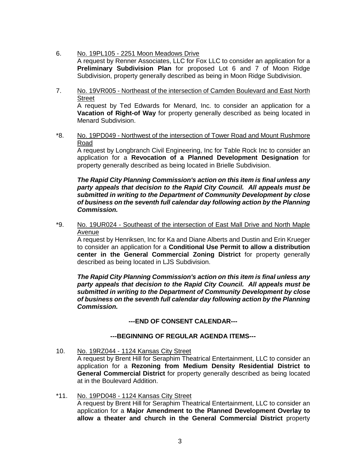- 6. No. 19PL105 2251 Moon Meadows Drive A request by Renner Associates, LLC for Fox LLC to consider an application for a **Preliminary Subdivision Plan** for proposed Lot 6 and 7 of Moon Ridge Subdivision, property generally described as being in Moon Ridge Subdivision.
- 7. No. 19VR005 Northeast of the intersection of Camden Boulevard and East North **Street** A request by Ted Edwards for Menard, Inc. to consider an application for a **Vacation of Right-of Way** for property generally described as being located in Menard Subdivision.
- \*8. No. 19PD049 Northwest of the intersection of Tower Road and Mount Rushmore Road

A request by Longbranch Civil Engineering, Inc for Table Rock Inc to consider an application for a **Revocation of a Planned Development Designation** for property generally described as being located in Brielle Subdivision.

*The Rapid City Planning Commission's action on this item is final unless any party appeals that decision to the Rapid City Council. All appeals must be submitted in writing to the Department of Community Development by close of business on the seventh full calendar day following action by the Planning Commission.*

\*9. No. 19UR024 - Southeast of the intersection of East Mall Drive and North Maple Avenue

A request by Henriksen, Inc for Ka and Diane Alberts and Dustin and Erin Krueger to consider an application for a **Conditional Use Permit to allow a distribution center in the General Commercial Zoning District** for property generally described as being located in LJS Subdivision.

*The Rapid City Planning Commission's action on this item is final unless any party appeals that decision to the Rapid City Council. All appeals must be submitted in writing to the Department of Community Development by close of business on the seventh full calendar day following action by the Planning Commission.*

**---END OF CONSENT CALENDAR---**

# **---BEGINNING OF REGULAR AGENDA ITEMS---**

10. No. 19RZ044 - 1124 Kansas City Street

A request by Brent Hill for Seraphim Theatrical Entertainment, LLC to consider an application for a **Rezoning from Medium Density Residential District to General Commercial District** for property generally described as being located at in the Boulevard Addition.

\*11. No. 19PD048 - 1124 Kansas City Street A request by Brent Hill for Seraphim Theatrical Entertainment, LLC to consider an application for a **Major Amendment to the Planned Development Overlay to allow a theater and church in the General Commercial District** property